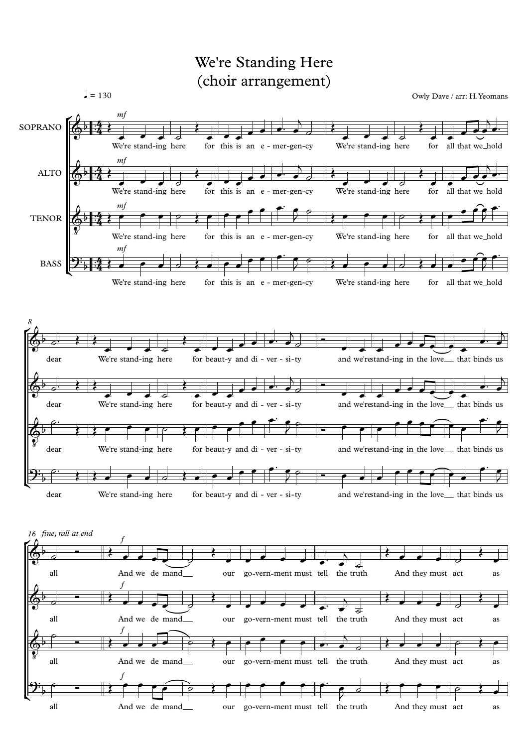